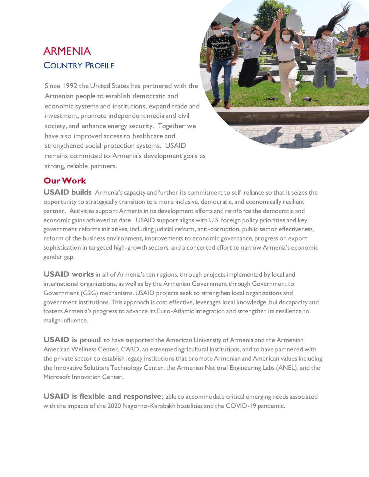# ARMENIA COUNTRY PROFILE

Since 1992 the United States has partnered with the Armenian people to establish democratic and economic systems and institutions, expand trade and investment, promote independent media and civil society, and enhance energy security. Together we have also improved access to healthcare and strengthened social protection systems. USAID remains committed to Armenia's development goals as strong, reliable partners.



## **Our Work**

**USAID builds** Armenia's capacity and further its commitment to self-reliance so that it seizes the opportunity to strategically transition to a more inclusive, democratic, and economically resilient partner. Activities support Armenia in its development efforts and reinforce the democratic and economic gains achieved to date. USAID support aligns with U.S. foreign policy priorities and key government reforms initiatives, including judicial reform, anti-corruption, public sector effectiveness, reform of the business environment, improvements to economic governance, progress on export sophistication in targeted high-growth sectors, and a concerted effort to narrow Armenia's economic gender gap.

**USAID works** in all of Armenia's ten regions, through projects implemented by local and international organizations, as well as by the Armenian Government through Government to Government (G2G) mechanisms. USAID projects seek to strengthen local organizations and government institutions. This approach is cost effective, leverages local knowledge, builds capacity and fosters Armenia's progress to advance its Euro-Atlantic integration and strengthen its resilience to malign influence.

**USAID is proud** to have supported the American University of Armenia and the Armenian American Wellness Center, CARD, an esteemed agricultural institutions, and to have partnered with the private sector to establish legacy institutions that promote Armenian and American values including the Innovative Solutions Technology Center, the Armenian National Engineering Labs (ANEL), and the Microsoft Innovation Center.

**USAID is flexible and responsive**; able to accommodate critical emerging needs associated with the impacts of the 2020 Nagorno-Karabakh hostilities and the COVID-19 pandemic.